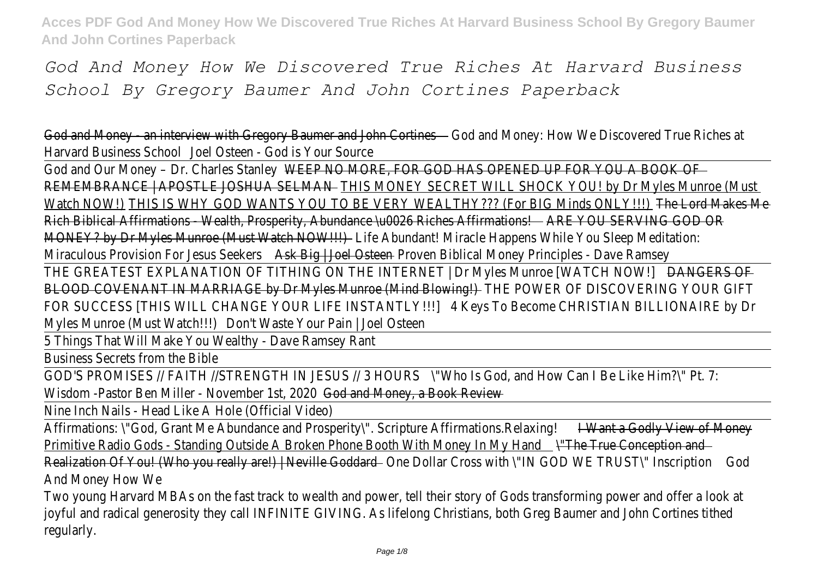*God And Money How We Discovered True Riches At Harvard Business School By Gregory Baumer And John Cortines Paperback*

God and Money - an interview with Gregory Baumer and John Contenestiow We Discovered True Riches Harvard Business School Dsteen - God is Your Sour

God and Our Money - Dr. Charles Stanley MORE, FOR GOD HAS OPENED UP FOR YOU A BO REMEMBRANCE | APOSTLE JOSHUA SELIMASI MONEY SECRET WILL SHOCK YOU! by Dr Myles Munroe Watch NOW HIS IS WHY GOD WANTS YOU TO BE VERY WEALTHY??? (For BIG MindshONLOK!!!) Makes M Rich Biblical Affirmations - Wealth, Prosperity, Abundance \u0026 RREh& OUfSERNANG ASOD ( MONEY? by Dr Myles Munroe (Must Watch Now Minacle Happens While You Sleep Meditation: Abundant! Miracle Happens While You Sleep Meditation: Miraculous Provision For Jesus Ask Big + Joel Ostreeven Biblical Money Principles - Dave Rams

THE GREATEST EXPLANATION OF TITHING ON THE INTERNET | Dr Myles Munroe [WATCH GREATES BLOOD COVENANT IN MARRIAGE by Dr Myles Munroe (Mind Blow MAIR OF DISCOVERING YOUR O FOR SUCCESS [THIS WILL CHANGE YOUR LIFE INSTANTLY KEYS To Become CHRISTIAN BILLIONAIRE by Myles Munroe (Must Watcht!!) Waste Your Pain | Joel Oste

5 Things That Will Make You Wealthy - Dave Ramsey F

Business Secrets from the Bible

GOD'S PROMISES // FAITH //STRENGTH IN JESUS / 3 MHOURS Sod, and How Can I Be Like Him?\" P Wisdom -Pastor Ben Miller - November of stan 2020 Gook Review, a Book Review

Nine Inch Nails - Head Like A Hole (Official Video)

Affirmations: \"God, Grant Me Abundance and Prosperity\". Scripture Affirmations Relaxing of Mone Primitive Radio Gods - Standing Outside A Broken Phone Booth With Thene Conception and Realization Of You! (Who you really are!) | Ne Olhe Goddard ross with \"IN GOD WE TRUST\" Gostription And Money How W

Two young Harvard MBAs on the fast track to wealth and power, tell their story of Gods transforming joyful and radical generosity they call INFINITE GIVING. As lifelong Christians, both Greg Baumer and Jo regularly.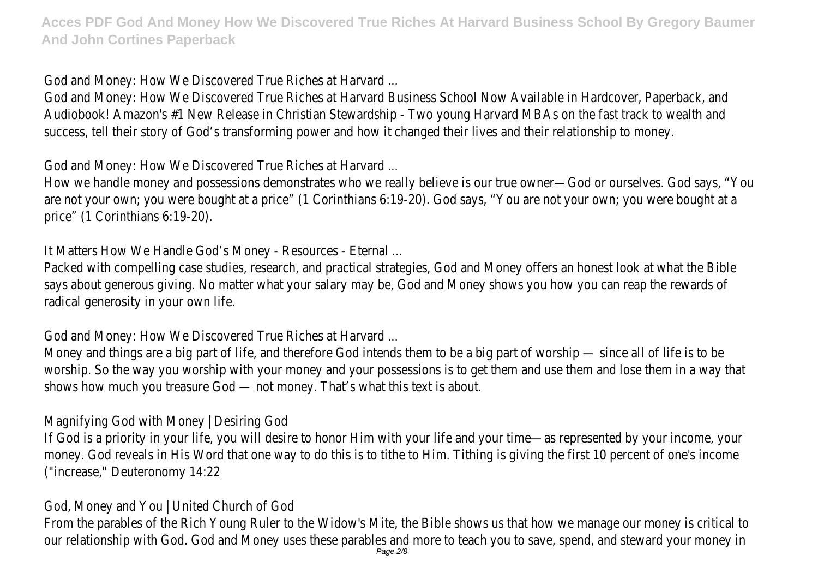God and Money: How We Discovered True Riches at Harvard

God and Money: How We Discovered True Riches at Harvard Business School Now Available in Hardcov Audiobook! Amazon's #1 New Release in Christian Stewardship - Two young Harvard MBAs on the fast success, tell their story of God's transforming power and how it changed their lives and their relation

God and Money: How We Discovered True Riches at Harvard

How we handle money and possessions demonstrates who we really believe is our true owner—God or are not your own; you were bought at a price" (1 Corinthians 6:19-20). God says, "You are not your o price" (1 Corinthians 6:19-20)

It Matters How We Handle God's Money - Resources - Eter

Packed with compelling case studies, research, and practical strategies, God and Money offers an hor says about generous giving. No matter what your salary may be, God and Money shows you how you radical generosity in your own lit

God and Money: How We Discovered True Riches at Harvard ...

Money and things are a big part of life, and therefore God intends them to be a big part of worship worship. So the way you worship with your money and your possessions is to get them and use then shows how much you treasure  $God - not money$ . That's what this text is

Magnifying God with Money | Desiring G

If God is a priority in your life, you will desire to honor Him with your life and your time—as represent money. God reveals in His Word that one way to do this is to tithe to Him. Tithing is giving the first in ("increase," Deuteronomy 14:22

God, Money and You | United Church of God,

From the parables of the Rich Young Ruler to the Widow's Mite, the Bible shows us that how we ma our relationship with God. God and Money uses these parables and more to teach you to save, spend,<br>Page 2/8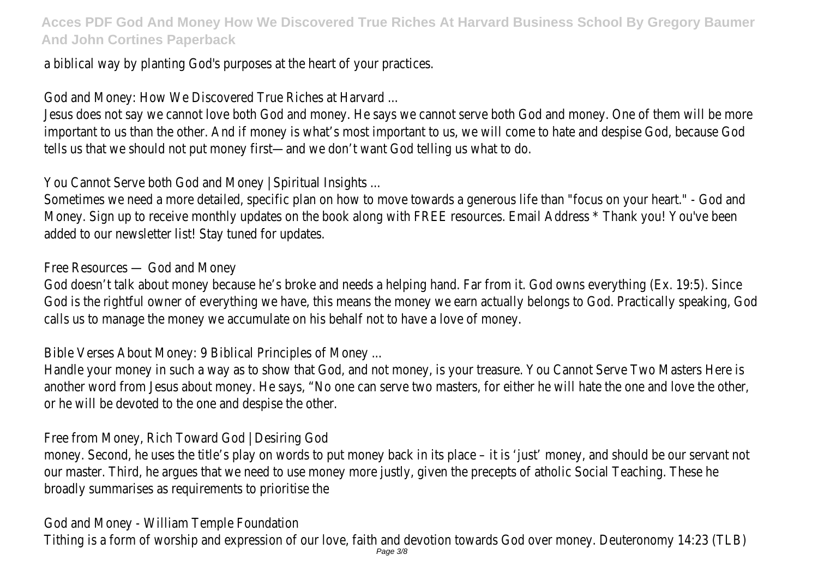a biblical way by planting God's purposes at the heart of your practical

God and Money: How We Discovered True Riches at Harvard

Jesus does not say we cannot love both God and money. He says we cannot serve both God and mor important to us than the other. And if money is what's most important to us, we will come to hate and despise God, because God, and despise God, and despise God, and despise God, and despise  $\epsilon$ tells us that we should not put money first—and we don't want God telling us what

You Cannot Serve both God and Money | Spiritual Insights

Sometimes we need a more detailed, specific plan on how to move towards a generous life than "focus Money. Sign up to receive monthly updates on the book along with FREE resources. Email Address \* T added to our newsletter list! Stay tuned for update

Free Resources - God and Mone

God doesn't talk about money because he's broke and needs a helping hand. Far from it. God owns ever God is the rightful owner of everything we have, this means the money we earn actually belongs to God. calls us to manage the money we accumulate on his behalf not to have a love of r

Bible Verses About Money: 9 Biblical Principles of Mone

Handle your money in such a way as to show that God, and not money, is your treasure. You Cannot another word from Jesus about money. He says, "No one can serve two masters, for either he will hat or he will be devoted to the one and despise the other

Free from Money, Rich Toward God | Desiring G

money. Second, he uses the title's play on words to put money back in its place – it is 'just' money, and our master. Third, he argues that we need to use money more justly, given the precepts of atholic Sc broadly summarises as requirements to prioritise

God and Money - William Temple Foundati

Tithing is a form of worship and expression of our love, faith and devotion towards God over money. Page 3/8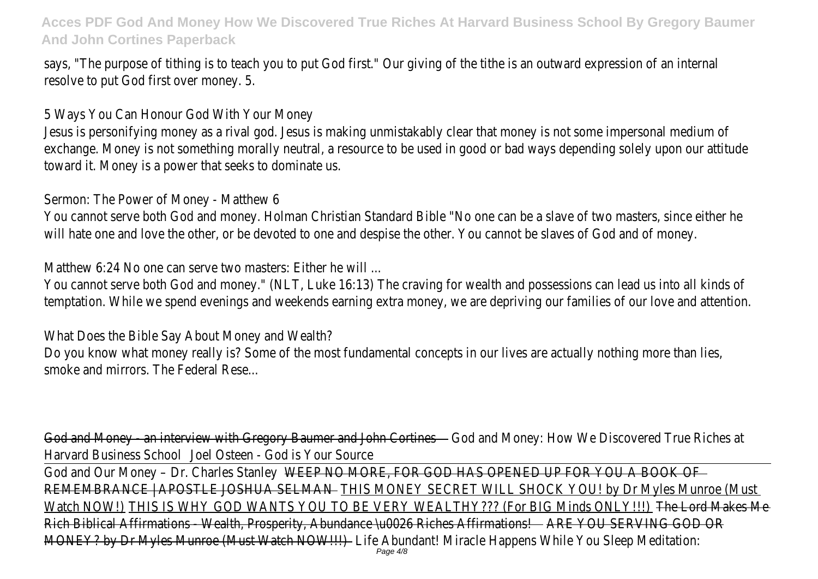says, "The purpose of tithing is to teach you to put God first." Our giving of the tithe is an outward of resolve to put God first over money

5 Ways You Can Honour God With Your Mor

Jesus is personifying money as a rival god. Jesus is making unmistakably clear that money is not some exchange. Money is not something morally neutral, a resource to be used in good or bad ways depend toward it. Money is a power that seeks to dominate

Sermon: The Power of Money - Matthey

You cannot serve both God and money. Holman Christian Standard Bible "No one can be a slave of two will hate one and love the other, or be devoted to one and despise the other. You cannot be slaves of

Matthew 6:24 No one can serve two masters: Either he v

You cannot serve both God and money." (NLT, Luke 16:13) The craving for wealth and possessions can temptation. While we spend evenings and weekends earning extra money, we are depriving our familie

What Does the Bible Say About Money and Wea

Do you know what money really is? Some of the most fundamental concepts in our lives are actually smoke and mirrors. The Federal Rese

God and Money - an interview with Gregory Baumer and John Conteyes Jow We Discovered True Riches Harvard Business Schood Dsteen - God is Your Sour

God and Our Money - Dr. Charles Stanley MORE, FOR GOD HAS OPENED UP FOR YOU A BO REMEMBRANCE | APOSTLE JOSHUA SELMANTHIS MONEY SECRET WILL SHOCK YOU! by Dr Myles Munroe Watch NOVTHIS IS WHY GOD WANTS YOU TO BE VERY WEALTHY??? (For BIG MindshONLOK!!) Makes M Rich Biblical Affirmations - Wealth, Prosperity, Abundance \u0026 RREh&SUfSERMING SOD OR MONEY? by Dr Myles Munroe (Must WatchfeNAW/Mb)ant! Miracle Happens While You Sleep Medita<br>Page 4/8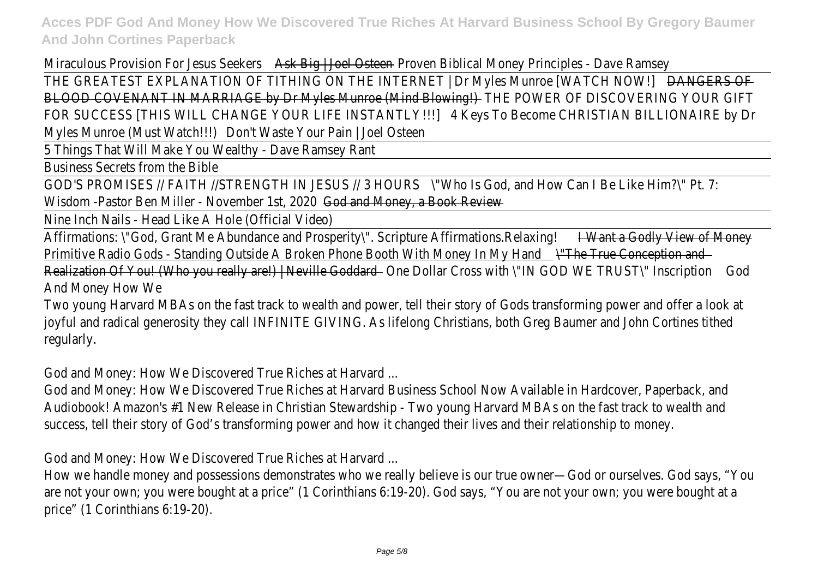Miraculous Provision For Jesus Ask Brig Joel Ostrowen Biblical Money Principles - Dave Rams THE GREATEST EXPLANATION OF TITHING ON THE INTERNET | Dr Myles Munroe [WATANGERS ACT] BLOOD COVENANT IN MARRIAGE by Dr Myles Munroe (Mind HBO WAMER OF DISCOVERING YOUR O FOR SUCCESS [THIS WILL CHANGE YOUR LIFE INSTANTLY KEYS To Become CHRISTIAN BILLIONAIRE by Myles Munroe (Must Watch!!) Waste Your Pain | Joel Oste

5 Things That Will Make You Wealthy - Dave Ramsey F

Business Secrets from the Bible

GOD'S PROMISES // FAITH //STRENGTH IN JESUS / \'3NHOURS od, and How Can I Be Like Him?\" Pt. Wisdom -Pastor Ben Miller - Novemberod str, 2020 Gook Review, 2020

Nine Inch Nails - Head Like A Hole (Official Video)

Affirmations: \"God, Grant Me Abundance and Prosperity\". Scripture AffilianattionScRtlyalingly of Mone Primitive Radio Gods - Standing Outside A Broken Phone Booth With Then True Conception and Realization Of You! (Who you really are!) | Ne@he Goddardross with \"IN GOD WE TRUST\" Gosdription And Money How W

Two young Harvard MBAs on the fast track to wealth and power, tell their story of Gods transforming joyful and radical generosity they call INFINITE GIVING. As lifelong Christians, both Greg Baumer and Jo regularly.

God and Money: How We Discovered True Riches at Harvard ...

God and Money: How We Discovered True Riches at Harvard Business School Now Available in Hardcov Audiobook! Amazon's #1 New Release in Christian Stewardship - Two young Harvard MBAs on the fast success, tell their story of God's transforming power and how it changed their lives and their relation

God and Money: How We Discovered True Riches at Harvard ...

How we handle money and possessions demonstrates who we really believe is our true owner-God or are not your own; you were bought at a price" (1 Corinthians 6:19-20). God says, "You are not your o price" (1 Corinthians 6:19-20)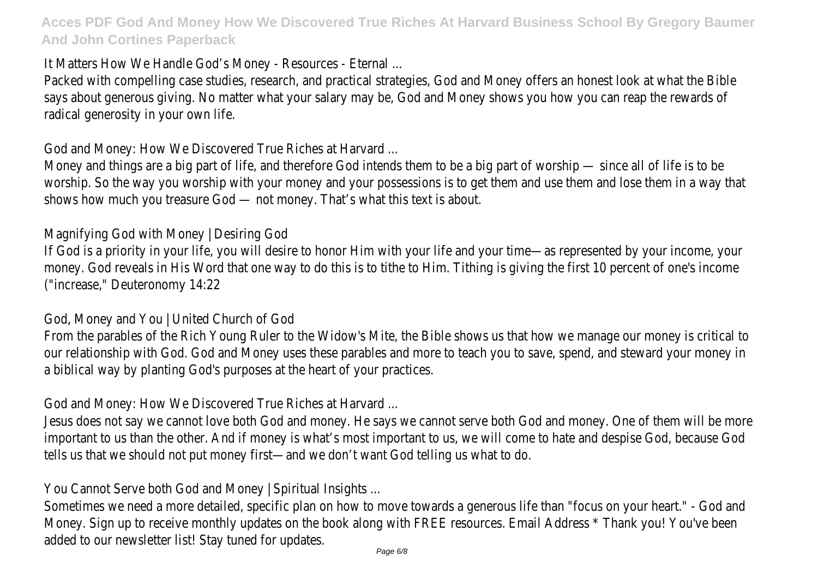It Matters How We Handle God's Money - Resources - Eter

Packed with compelling case studies, research, and practical strategies, God and Money offers an hor says about generous giving. No matter what your salary may be, God and Money shows you how you radical generosity in your own lit

God and Money: How We Discovered True Riches at Harvard

Money and things are a big part of life, and therefore God intends them to be a big part of worship worship. So the way you worship with your money and your possessions is to get them and use then shows how much you treasure God - not money. That's what this text is

Magnifying God with Money | Desiring G

If God is a priority in your life, you will desire to honor Him with your life and your time—as represent money. God reveals in His Word that one way to do this is to tithe to Him. Tithing is giving the first in ("increase," Deuteronomy 14:22

God, Money and You | United Church of God,

From the parables of the Rich Young Ruler to the Widow's Mite, the Bible shows us that how we ma our relationship with God. God and Money uses these parables and more to teach you to save, spend, a biblical way by planting God's purposes at the heart of your practical

God and Money: How We Discovered True Riches at Harvard

Jesus does not say we cannot love both God and money. He says we cannot serve both God and mor important to us than the other. And if money is what's most important to us, we will come to hate and despise God, because God, and despise God, and despise God, and despise God, and despise  $\epsilon$ tells us that we should not put money first—and we don't want God telling us what

You Cannot Serve both God and Money | Spiritual Insight

Sometimes we need a more detailed, specific plan on how to move towards a generous life than "focus Money. Sign up to receive monthly updates on the book along with FREE resources. Email Address \* T added to our newsletter list! Stay tuned for upd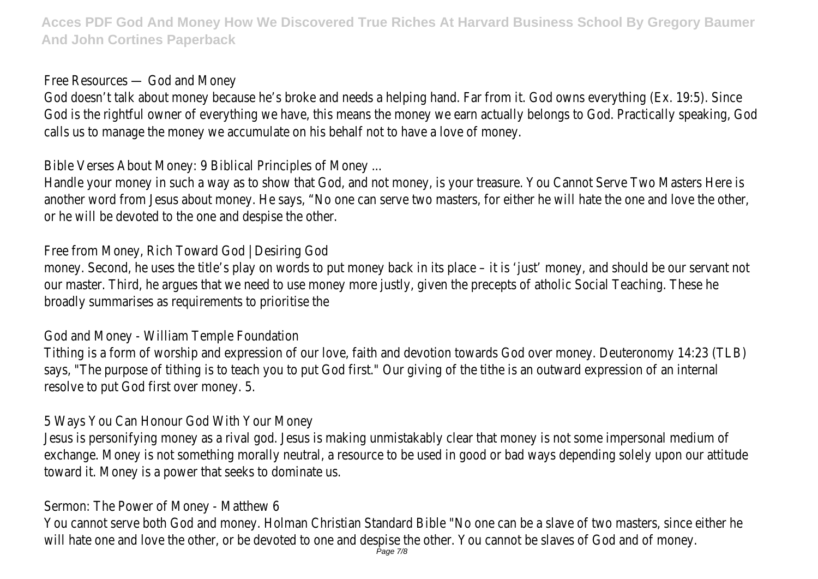Free Resources  $-$  God and Mon

God doesn't talk about money because he's broke and needs a helping hand. Far from it. God owns ever God is the rightful owner of everything we have, this means the money we earn actually belongs to God. calls us to manage the money we accumulate on his behalf not to have a love of i

Bible Verses About Money: 9 Biblical Principles of Mone

Handle your money in such a way as to show that God, and not money, is your treasure. You Cannot another word from Jesus about money. He says, "No one can serve two masters, for either he will hat or he will be devoted to the one and despise the other.

Free from Money, Rich Toward God | Desiring (

money. Second, he uses the title's play on words to put money back in its place – it is 'just' money, and should be our servant not not all the our servers. our master. Third, he argues that we need to use money more justly, given the precepts of atholic Sc broadly summarises as requirements to prioritise

God and Money - William Temple Foundati

Tithing is a form of worship and expression of our love, faith and devotion towards God over money. says, "The purpose of tithing is to teach you to put God first." Our giving of the tithe is an outward of resolve to put God first over money

5 Ways You Can Honour God With Your Mor

Jesus is personifying money as a rival god. Jesus is making unmistakably clear that money is not some exchange. Money is not something morally neutral, a resource to be used in good or bad ways dependent toward it. Money is a power that seeks to dominate

Sermon: The Power of Money - Matthey

You cannot serve both God and money. Holman Christian Standard Bible "No one can be a slave of two will hate one and love the other, or be devoted to one and despise the other. You cannot be slaves of